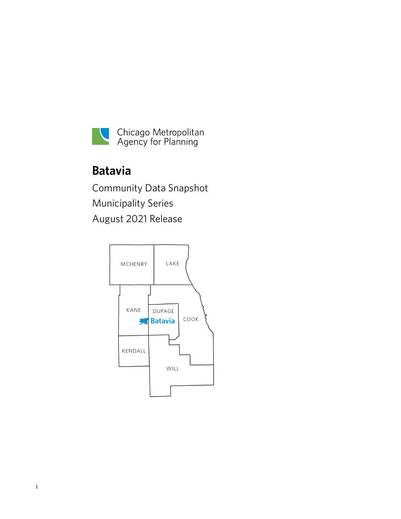

# **Batavia**

Community Data Snapshot Municipality Series August 2021 Release

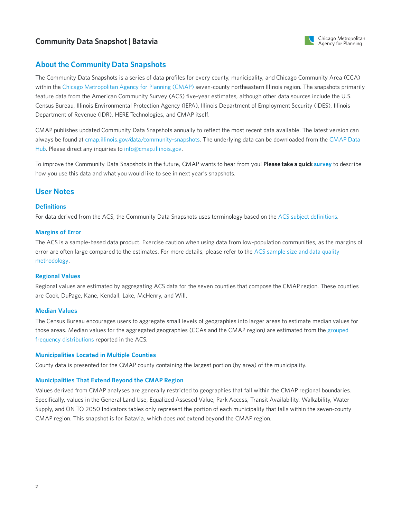

## **About the Community Data Snapshots**

The Community Data Snapshots is a series of data profiles for every county, municipality, and Chicago Community Area (CCA) within the Chicago [Metropolitan](https://www.cmap.illinois.gov) Agency for Planning (CMAP) seven-county northeastern Illinois region. The snapshots primarily feature data from the American Community Survey (ACS) five-year estimates, although other data sources include the U.S. Census Bureau, Illinois Environmental Protection Agency (IEPA), Illinois Department of Employment Security (IDES), Illinois Department of Revenue (IDR), HERE Technologies, and CMAP itself.

CMAP publishes updated Community Data Snapshots annually to reflect the most recent data available. The latest version can always be found at [cmap.illinois.gov/data/community-snapshots.](https://datahub.cmap.illinois.gov/dataset/community-data-snapshots-raw-data) The underlying data can be downloaded from the CMAP Data Hub. Please direct any inquiries to [info@cmap.illinois.gov](mailto:info@cmap.illinois.gov?subject=Community%20Data%20Snapshots).

To improve the Community Data Snapshots in the future, CMAP wants to hear from you! **Please take a quick [survey](https://www.surveymonkey.com/r/339KXSH)** to describe how you use this data and what you would like to see in next year's snapshots.

## **User Notes**

#### **Definitions**

For data derived from the ACS, the Community Data Snapshots uses terminology based on the ACS subject [definitions](https://www2.census.gov/programs-surveys/acs/tech_docs/subject_definitions/2019_ACSSubjectDefinitions.pdf).

#### **Margins of Error**

The ACS is a sample-based data product. Exercise caution when using data from low-population communities, as the margins of error are often large compared to the estimates. For more details, please refer to the ACS sample size and data quality [methodology.](https://www.census.gov/acs/www/methodology/sample-size-and-data-quality)

#### **Regional Values**

Regional values are estimated by aggregating ACS data for the seven counties that compose the CMAP region. These counties are Cook, DuPage, Kane, Kendall, Lake, McHenry, and Will.

#### **Median Values**

The Census Bureau encourages users to aggregate small levels of geographies into larger areas to estimate median values for those areas. Median values for the aggregated [geographies](https://en.wikipedia.org/wiki/Grouped_data) (CCAs and the CMAP region) are estimated from the grouped frequency distributions reported in the ACS.

#### **Municipalities Located in Multiple Counties**

County data is presented for the CMAP county containing the largest portion (by area) of the municipality.

#### **Municipalities That Extend Beyond the CMAP Region**

Values derived from CMAP analyses are generally restricted to geographies that fall within the CMAP regional boundaries. Specifically, values in the General Land Use, Equalized Assesed Value, Park Access, Transit Availability, Walkability, Water Supply, and ON TO 2050 Indicators tables only represent the portion of each municipality that falls within the seven-county CMAP region. This snapshot is for Batavia, which does *not* extend beyond the CMAP region.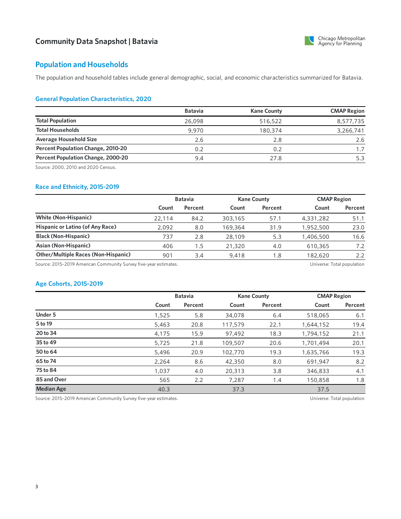

# **Population and Households**

The population and household tables include general demographic, social, and economic characteristics summarized for Batavia.

#### **General Population Characteristics, 2020**

|                                           | <b>Batavia</b> | <b>Kane County</b> | <b>CMAP Region</b> |
|-------------------------------------------|----------------|--------------------|--------------------|
| <b>Total Population</b>                   | 26,098         | 516,522            | 8,577,735          |
| <b>Total Households</b>                   | 9,970          | 180,374            | 3,266,741          |
| <b>Average Household Size</b>             | 2.6            | 2.8                | 2.6                |
| <b>Percent Population Change, 2010-20</b> | 0.2            | 0.2                | 1.7                |
| Percent Population Change, 2000-20        | 9.4            | 27.8               |                    |

Source: 2000, 2010 and 2020 Census.

#### **Race and Ethnicity, 2015-2019**

|                                            | <b>Batavia</b> |         | <b>Kane County</b> |         | <b>CMAP Region</b> |         |
|--------------------------------------------|----------------|---------|--------------------|---------|--------------------|---------|
|                                            | Count          | Percent | Count              | Percent | Count              | Percent |
| <b>White (Non-Hispanic)</b>                | 22,114         | 84.2    | 303,165            | 57.1    | 4,331,282          | 51.1    |
| Hispanic or Latino (of Any Race)           | 2.092          | 8.0     | 169,364            | 31.9    | 1,952,500          | 23.0    |
| <b>Black (Non-Hispanic)</b>                | 737            | 2.8     | 28,109             | 5.3     | 1,406,500          | 16.6    |
| Asian (Non-Hispanic)                       | 406            | .5      | 21.320             | 4.0     | 610,365            | 7.2     |
| <b>Other/Multiple Races (Non-Hispanic)</b> | 901            | 3.4     | 9,418              | 1.8     | 182,620            | 2.2     |

Source: 2015-2019 American Community Survey five-year estimates. 
Universe: Total population
Source: 2015-2019 American Community Survey five-year estimates.

#### **Age Cohorts, 2015-2019**

|                   |       | <b>Batavia</b> |         | <b>Kane County</b> |           | <b>CMAP Region</b> |  |
|-------------------|-------|----------------|---------|--------------------|-----------|--------------------|--|
|                   | Count | Percent        | Count   | Percent            | Count     | Percent            |  |
| Under 5           | 1,525 | 5.8            | 34,078  | 6.4                | 518,065   | 6.1                |  |
| 5 to 19           | 5,463 | 20.8           | 117,579 | 22.1               | 1,644,152 | 19.4               |  |
| 20 to 34          | 4,175 | 15.9           | 97,492  | 18.3               | 1,794,152 | 21.1               |  |
| 35 to 49          | 5.725 | 21.8           | 109,507 | 20.6               | 1,701,494 | 20.1               |  |
| 50 to 64          | 5,496 | 20.9           | 102,770 | 19.3               | 1,635,766 | 19.3               |  |
| 65 to 74          | 2,264 | 8.6            | 42,350  | 8.0                | 691.947   | 8.2                |  |
| 75 to 84          | 1.037 | 4.0            | 20,313  | 3.8                | 346,833   | 4.1                |  |
| 85 and Over       | 565   | 2.2            | 7.287   | 1.4                | 150,858   | 1.8                |  |
| <b>Median Age</b> | 40.3  |                | 37.3    |                    | 37.5      |                    |  |

Source: 2015-2019 American Community Survey five-year estimates. 
Universe: Total population
Source: 2015-2019 American Community Survey five-year estimates.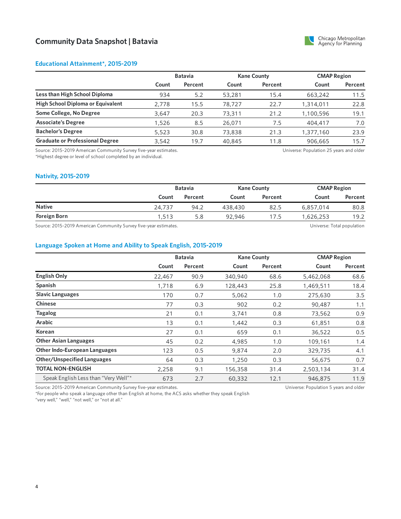

#### **Educational Attainment\*, 2015-2019**

|                                        | <b>Batavia</b> |         |        | <b>Kane County</b> |           | <b>CMAP Region</b> |  |
|----------------------------------------|----------------|---------|--------|--------------------|-----------|--------------------|--|
|                                        | Count          | Percent | Count  | Percent            | Count     | Percent            |  |
| Less than High School Diploma          | 934            | 5.2     | 53,281 | 15.4               | 663,242   | 11.5               |  |
| High School Diploma or Equivalent      | 2.778          | 15.5    | 78,727 | 22.7               | 1,314,011 | 22.8               |  |
| Some College, No Degree                | 3.647          | 20.3    | 73,311 | 21.2               | 1,100,596 | 19.1               |  |
| <b>Associate's Degree</b>              | 1,526          | 8.5     | 26,071 | 7.5                | 404,417   | 7.0                |  |
| <b>Bachelor's Degree</b>               | 5,523          | 30.8    | 73,838 | 21.3               | 1,377,160 | 23.9               |  |
| <b>Graduate or Professional Degree</b> | 3.542          | 19.7    | 40,845 | 11.8               | 906,665   | 15.7               |  |

Source: 2015-2019 American Community Survey five-year estimates. \*Highest degree or level of school completed by an individual.

Universe: Population 25 years and older

Universe: Population 5 years and older

#### **Nativity, 2015-2019**

|                                                                                                                                                                                                                                            | <b>Batavia</b> |         | <b>Kane County</b> |         | <b>CMAP Region</b> |         |
|--------------------------------------------------------------------------------------------------------------------------------------------------------------------------------------------------------------------------------------------|----------------|---------|--------------------|---------|--------------------|---------|
|                                                                                                                                                                                                                                            | Count          | Percent | Count              | Percent | Count              | Percent |
| <b>Native</b>                                                                                                                                                                                                                              | 24,737         | 94.2    | 438,430            | 82.5    | 6,857,014          | 80.8    |
| Foreign Born                                                                                                                                                                                                                               | 1,513          | 5.8     | 92,946             | 17.5    | 626,253.           | 19.2    |
| $\sim$<br>$\cdots$ . The contract of the contract of the contract of the contract of the contract of the contract of the contract of the contract of the contract of the contract of the contract of the contract of the contract of the c |                |         |                    |         | .                  |         |

Source: 2015-2019 American Community Survey five-year estimates. Universe: Total population

#### **Language Spoken at Home and Ability to Speak English, 2015-2019**

|                                      | <b>Batavia</b> |         |         | <b>Kane County</b> |           | <b>CMAP Region</b> |  |
|--------------------------------------|----------------|---------|---------|--------------------|-----------|--------------------|--|
|                                      | Count          | Percent | Count   | Percent            | Count     | Percent            |  |
| <b>English Only</b>                  | 22,467         | 90.9    | 340,940 | 68.6               | 5,462,068 | 68.6               |  |
| Spanish                              | 1,718          | 6.9     | 128,443 | 25.8               | 1,469,511 | 18.4               |  |
| <b>Slavic Languages</b>              | 170            | 0.7     | 5,062   | 1.0                | 275,630   | 3.5                |  |
| <b>Chinese</b>                       | 77             | 0.3     | 902     | 0.2                | 90,487    | 1.1                |  |
| <b>Tagalog</b>                       | 21             | 0.1     | 3.741   | 0.8                | 73,562    | 0.9                |  |
| <b>Arabic</b>                        | 13             | 0.1     | 1,442   | 0.3                | 61,851    | 0.8                |  |
| <b>Korean</b>                        | 27             | 0.1     | 659     | 0.1                | 36,522    | 0.5                |  |
| <b>Other Asian Languages</b>         | 45             | 0.2     | 4,985   | 1.0                | 109,161   | 1.4                |  |
| <b>Other Indo-European Languages</b> | 123            | 0.5     | 9,874   | 2.0                | 329,735   | 4.1                |  |
| <b>Other/Unspecified Languages</b>   | 64             | 0.3     | 1,250   | 0.3                | 56,675    | 0.7                |  |
| <b>TOTAL NON-ENGLISH</b>             | 2,258          | 9.1     | 156,358 | 31.4               | 2,503,134 | 31.4               |  |
| Speak English Less than "Very Well"* | 673            | 2.7     | 60,332  | 12.1               | 946,875   | 11.9               |  |

Source: 2015-2019 American Community Survey five-year estimates.

\*For people who speak a language other than English at home, the ACS asks whether they speak English

"very well," "well," "not well," or "not at all."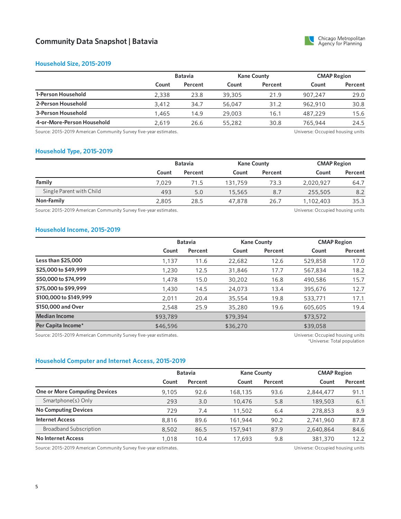

#### **Household Size, 2015-2019**

| <b>Batavia</b> |         | <b>Kane County</b> |         | <b>CMAP Region</b> |         |
|----------------|---------|--------------------|---------|--------------------|---------|
| Count          | Percent | Count              | Percent | Count              | Percent |
| 2.338          | 23.8    | 39,305             | 21.9    | 907.247            | 29.0    |
| 3.412          | 34.7    | 56,047             | 31.2    | 962.910            | 30.8    |
| 1,465          | 14.9    | 29,003             | 16.1    | 487,229            | 15.6    |
| 2.619          | 26.6    | 55,282             | 30.8    | 765,944            | 24.5    |
|                |         |                    |         |                    |         |

Source: 2015-2019 American Community Survey five-year estimates. 
<br>
Source: 2015-2019 American Community Survey five-year estimates.

#### **Household Type, 2015-2019**

|                          |       | <b>Batavia</b> |         | <b>Kane County</b> |           | <b>CMAP Region</b> |  |
|--------------------------|-------|----------------|---------|--------------------|-----------|--------------------|--|
|                          | Count | Percent        | Count   | Percent            | Count     | Percent            |  |
| Family                   | 7.029 | 71.5           | 131,759 | 73.3               | 2,020,927 | 64.7               |  |
| Single Parent with Child | 493   | 5.0            | 15,565  | 8.7                | 255,505   | 8.2                |  |
| Non-Family               | 2,805 | 28.5           | 47,878  | 26.7               | 1,102,403 | 35.3               |  |

Source: 2015-2019 American Community Survey five-year estimates. The material community Survey five-year estimates.

#### **Household Income, 2015-2019**

|                        |          | <b>Batavia</b> |          | <b>Kane County</b> |          | <b>CMAP Region</b> |  |
|------------------------|----------|----------------|----------|--------------------|----------|--------------------|--|
|                        | Count    | Percent        | Count    | Percent            | Count    | Percent            |  |
| Less than \$25,000     | 1,137    | 11.6           | 22,682   | 12.6               | 529,858  | 17.0               |  |
| \$25,000 to \$49,999   | 1,230    | 12.5           | 31,846   | 17.7               | 567,834  | 18.2               |  |
| \$50,000 to \$74,999   | 1,478    | 15.0           | 30,202   | 16.8               | 490,586  | 15.7               |  |
| \$75,000 to \$99,999   | 1,430    | 14.5           | 24,073   | 13.4               | 395,676  | 12.7               |  |
| \$100,000 to \$149,999 | 2,011    | 20.4           | 35,554   | 19.8               | 533,771  | 17.1               |  |
| \$150,000 and Over     | 2,548    | 25.9           | 35,280   | 19.6               | 605,605  | 19.4               |  |
| <b>Median Income</b>   | \$93,789 |                | \$79,394 |                    | \$73,572 |                    |  |
| Per Capita Income*     | \$46,596 |                | \$36,270 |                    | \$39,058 |                    |  |

Source: 2015-2019 American Community Survey five-year estimates. Universe: Occupied housing units

\*Universe: Total population

#### **Household Computer and Internet Access, 2015-2019**

|                                      | <b>Batavia</b> |         | <b>Kane County</b> |         | <b>CMAP Region</b> |         |
|--------------------------------------|----------------|---------|--------------------|---------|--------------------|---------|
|                                      | Count          | Percent | Count              | Percent | Count              | Percent |
| <b>One or More Computing Devices</b> | 9.105          | 92.6    | 168,135            | 93.6    | 2,844,477          | 91.1    |
| Smartphone(s) Only                   | 293            | 3.0     | 10,476             | 5.8     | 189,503            | 6.1     |
| <b>No Computing Devices</b>          | 729            | 7.4     | 11,502             | 6.4     | 278,853            | 8.9     |
| <b>Internet Access</b>               | 8,816          | 89.6    | 161.944            | 90.2    | 2,741,960          | 87.8    |
| <b>Broadband Subscription</b>        | 8,502          | 86.5    | 157,941            | 87.9    | 2,640,864          | 84.6    |
| <b>No Internet Access</b>            | 1.018          | 10.4    | 17.693             | 9.8     | 381,370            | 12.2    |

Source: 2015-2019 American Community Survey five-year estimates. The Mateur of the Mateus of the Universe: Occupied housing units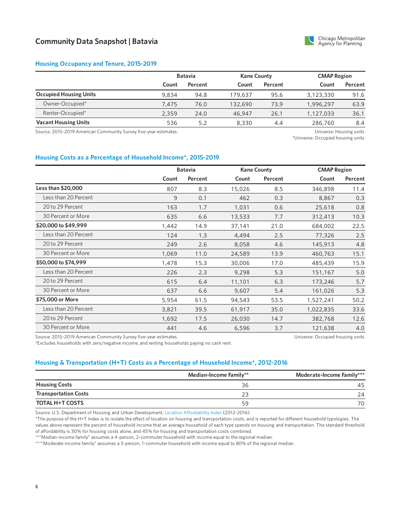

#### **Housing Occupancy and Tenure, 2015-2019**

|                               |       | <b>Batavia</b> |         | <b>Kane County</b> |           | <b>CMAP Region</b> |  |
|-------------------------------|-------|----------------|---------|--------------------|-----------|--------------------|--|
|                               | Count | Percent        | Count   | Percent            | Count     | Percent            |  |
| <b>Occupied Housing Units</b> | 9.834 | 94.8           | 179,637 | 95.6               | 3,123,330 | 91.6               |  |
| Owner-Occupied*               | 7.475 | 76.0           | 132,690 | 73.9               | 1,996,297 | 63.9               |  |
| Renter-Occupied*              | 2.359 | 24.0           | 46,947  | 26.1               | 1.127.033 | 36.1               |  |
| <b>Vacant Housing Units</b>   | 536   | 5.2            | 8,330   | 4.4                | 286,760   | 8.4                |  |

Source: 2015-2019 American Community Survey five-year estimates. Universe: Housing units

\*Universe: Occupied housing units

#### **Housing Costs as a Percentage of Household Income\*, 2015-2019**

|                      |       | <b>Batavia</b> |        | <b>Kane County</b> |           | <b>CMAP Region</b> |  |
|----------------------|-------|----------------|--------|--------------------|-----------|--------------------|--|
|                      | Count | Percent        | Count  | Percent            | Count     | Percent            |  |
| Less than \$20,000   | 807   | 8.3            | 15,026 | 8.5                | 346,898   | 11.4               |  |
| Less than 20 Percent | 9     | 0.1            | 462    | 0.3                | 8,867     | 0.3                |  |
| 20 to 29 Percent     | 163   | 1.7            | 1,031  | 0.6                | 25,618    | 0.8                |  |
| 30 Percent or More   | 635   | 6.6            | 13,533 | 7.7                | 312,413   | 10.3               |  |
| \$20,000 to \$49,999 | 1,442 | 14.9           | 37,141 | 21.0               | 684,002   | 22.5               |  |
| Less than 20 Percent | 124   | 1.3            | 4,494  | 2.5                | 77,326    | 2.5                |  |
| 20 to 29 Percent     | 249   | 2.6            | 8,058  | 4.6                | 145,913   | 4.8                |  |
| 30 Percent or More   | 1,069 | 11.0           | 24,589 | 13.9               | 460,763   | 15.1               |  |
| \$50,000 to \$74,999 | 1,478 | 15.3           | 30,006 | 17.0               | 485,439   | 15.9               |  |
| Less than 20 Percent | 226   | 2.3            | 9,298  | 5.3                | 151,167   | 5.0                |  |
| 20 to 29 Percent     | 615   | 6.4            | 11,101 | 6.3                | 173,246   | 5.7                |  |
| 30 Percent or More   | 637   | 6.6            | 9,607  | 5.4                | 161,026   | 5.3                |  |
| \$75,000 or More     | 5,954 | 61.5           | 94,543 | 53.5               | 1,527,241 | 50.2               |  |
| Less than 20 Percent | 3,821 | 39.5           | 61,917 | 35.0               | 1,022,835 | 33.6               |  |
| 20 to 29 Percent     | 1,692 | 17.5           | 26,030 | 14.7               | 382,768   | 12.6               |  |
| 30 Percent or More   | 441   | 4.6            | 6,596  | 3.7                | 121,638   | 4.0                |  |

Source: 2015-2019 American Community Survey five-year estimates.

\*Excludes households with zero/negative income, and renting households paying no cash rent.

Universe: Occupied housing units

#### **Housing & Transportation (H+T) Costs as a Percentage of Household Income\*, 2012-2016**

|                             | Median-Income Family** | Moderate-Income Family*** |
|-----------------------------|------------------------|---------------------------|
| <b>Housing Costs</b>        | 36                     | 45                        |
| <b>Transportation Costs</b> |                        | 24                        |
| <b>TOTAL H+T COSTS</b>      | 59                     | 70                        |

Source: U.S. Department of Housing and Urban Development, Location [Affordability](https://www.hudexchange.info/programs/location-affordability-index) Index (2012-2016).

\*The purpose of the H+T Index is to isolate the effect of location on housing and transportation costs, and is reported for different household typologies. The values above represent the percent of household income that an average household of each type spends on housing and transportation. The standard threshold of affordability is 30% for housing costs alone, and 45% for housing and transportation costs combined.

\*\*"Median-income family" assumes a 4-person, 2-commuter household with income equal to the regional median.

\*\*\*"Moderate-income family" assumes a 3-person, 1-commuter household with income equal to 80% of the regional median.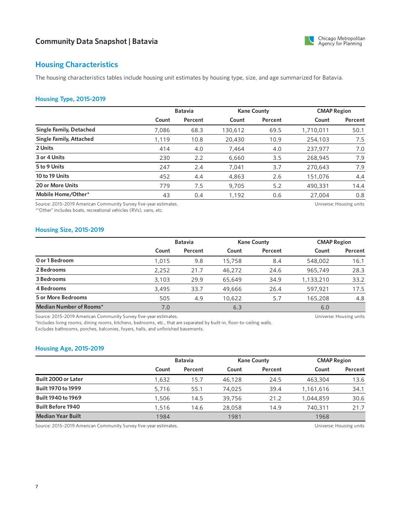

# **Housing Characteristics**

The housing characteristics tables include housing unit estimates by housing type, size, and age summarized for Batavia.

#### **Housing Type, 2015-2019**

|                                |       | <b>Batavia</b> |         | <b>Kane County</b> |           | <b>CMAP Region</b> |  |
|--------------------------------|-------|----------------|---------|--------------------|-----------|--------------------|--|
|                                | Count | Percent        | Count   | Percent            | Count     | Percent            |  |
| <b>Single Family, Detached</b> | 7,086 | 68.3           | 130,612 | 69.5               | 1,710,011 | 50.1               |  |
| <b>Single Family, Attached</b> | 1,119 | 10.8           | 20,430  | 10.9               | 254,103   | 7.5                |  |
| 2 Units                        | 414   | 4.0            | 7,464   | 4.0                | 237,977   | 7.0                |  |
| 3 or 4 Units                   | 230   | 2.2            | 6,660   | 3.5                | 268,945   | 7.9                |  |
| 5 to 9 Units                   | 247   | 2.4            | 7.041   | 3.7                | 270,643   | 7.9                |  |
| 10 to 19 Units                 | 452   | 4.4            | 4,863   | 2.6                | 151,076   | 4.4                |  |
| 20 or More Units               | 779   | 7.5            | 9,705   | 5.2                | 490,331   | 14.4               |  |
| Mobile Home/Other*             | 43    | 0.4            | 1,192   | 0.6                | 27,004    | 0.8                |  |

Source: 2015-2019 American Community Survey five-year estimates.

\*"Other" includes boats, recreational vehicles (RVs), vans, etc.

Universe: Housing units

#### **Housing Size, 2015-2019**

|                           |       | <b>Batavia</b> |        | <b>Kane County</b> |           | <b>CMAP Region</b> |  |
|---------------------------|-------|----------------|--------|--------------------|-----------|--------------------|--|
|                           | Count | Percent        | Count  | Percent            | Count     | Percent            |  |
| O or 1 Bedroom            | 1,015 | 9.8            | 15,758 | 8.4                | 548,002   | 16.1               |  |
| 2 Bedrooms                | 2,252 | 21.7           | 46,272 | 24.6               | 965,749   | 28.3               |  |
| 3 Bedrooms                | 3.103 | 29.9           | 65,649 | 34.9               | 1,133,210 | 33.2               |  |
| 4 Bedrooms                | 3,495 | 33.7           | 49,666 | 26.4               | 597,921   | 17.5               |  |
| <b>5 or More Bedrooms</b> | 505   | 4.9            | 10.622 | 5.7                | 165,208   | 4.8                |  |
| Median Number of Rooms*   | 7.0   |                | 6.3    |                    | 6.0       |                    |  |

Source: 2015-2019 American Community Survey five-year estimates.

\*Includes living rooms, dining rooms, kitchens, bedrooms, etc., that are separated by built-in, floor-to-ceiling walls. Excludes bathrooms, porches, balconies, foyers, halls, and unfinished basements.

#### **Housing Age, 2015-2019**

|                           |       | <b>Batavia</b> |        | <b>Kane County</b> |           | <b>CMAP Region</b> |  |
|---------------------------|-------|----------------|--------|--------------------|-----------|--------------------|--|
|                           | Count | Percent        | Count  | Percent            | Count     | Percent            |  |
| Built 2000 or Later       | 1,632 | 15.7           | 46,128 | 24.5               | 463,304   | 13.6               |  |
| <b>Built 1970 to 1999</b> | 5.716 | 55.1           | 74,025 | 39.4               | 1.161.616 | 34.1               |  |
| <b>Built 1940 to 1969</b> | 1.506 | 14.5           | 39,756 | 21.2               | 1.044.859 | 30.6               |  |
| <b>Built Before 1940</b>  | 1.516 | 14.6           | 28,058 | 14.9               | 740,311   | 21.7               |  |
| <b>Median Year Built</b>  | 1984  |                | 1981   |                    | 1968      |                    |  |

Source: 2015-2019 American Community Survey five-year estimates. Universe: Housing units

Universe: Housing units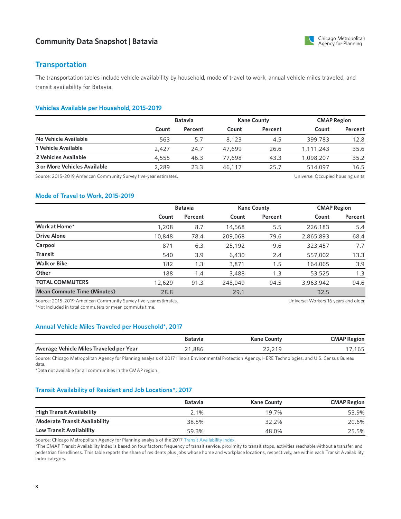

# **Transportation**

The transportation tables include vehicle availability by household, mode of travel to work, annual vehicle miles traveled, and transit availability for Batavia.

#### **Vehicles Available per Household, 2015-2019**

|                              |       | <b>Batavia</b> |        | <b>Kane County</b> |           | <b>CMAP Region</b> |  |
|------------------------------|-------|----------------|--------|--------------------|-----------|--------------------|--|
|                              | Count | Percent        | Count  | Percent            | Count     | Percent            |  |
| No Vehicle Available         | 563   | 5.7            | 8.123  | 4.5                | 399,783   | 12.8               |  |
| 1 Vehicle Available          | 2.427 | 24.7           | 47,699 | 26.6               | 1,111,243 | 35.6               |  |
| 2 Vehicles Available         | 4,555 | 46.3           | 77,698 | 43.3               | 1.098.207 | 35.2               |  |
| 3 or More Vehicles Available | 2.289 | 23.3           | 46,117 | 25.7               | 514,097   | 16.5               |  |

Source: 2015-2019 American Community Survey five-year estimates. The material community Survey five-year estimates.

#### **Mode of Travel to Work, 2015-2019**

|                                                                   |        | <b>Batavia</b> |         | <b>Kane County</b> |                                      | <b>CMAP Region</b> |  |
|-------------------------------------------------------------------|--------|----------------|---------|--------------------|--------------------------------------|--------------------|--|
|                                                                   | Count  | Percent        | Count   | Percent            | Count                                | Percent            |  |
| Work at Home*                                                     | 1,208  | 8.7            | 14,568  | 5.5                | 226,183                              | 5.4                |  |
| <b>Drive Alone</b>                                                | 10,848 | 78.4           | 209,068 | 79.6               | 2,865,893                            | 68.4               |  |
| Carpool                                                           | 871    | 6.3            | 25,192  | 9.6                | 323,457                              | 7.7                |  |
| <b>Transit</b>                                                    | 540    | 3.9            | 6,430   | 2.4                | 557,002                              | 13.3               |  |
| <b>Walk or Bike</b>                                               | 182    | 1.3            | 3.871   | 1.5                | 164,065                              | 3.9                |  |
| Other                                                             | 188    | 1.4            | 3,488   | 1.3                | 53,525                               | 1.3                |  |
| <b>TOTAL COMMUTERS</b>                                            | 12,629 | 91.3           | 248,049 | 94.5               | 3.963.942                            | 94.6               |  |
| <b>Mean Commute Time (Minutes)</b>                                | 28.8   |                | 29.1    |                    | 32.5                                 |                    |  |
| Source: 2015, 2010, American Community Survey five year octimator |        |                |         |                    | Universal Warkers 16 years and alder |                    |  |

ource: 2015-2019 American Community Survey five-year estimates. \*Not included in total commuters or mean commute time.

Universe: Workers 16 years and older

#### **Annual Vehicle Miles Traveled per Household\*, 2017**

|                                         | Batavia | Kane County | <b>CMAP Region</b> |
|-----------------------------------------|---------|-------------|--------------------|
| Average Vehicle Miles Traveled per Year | .886    | 44.41       | כס ו               |

Source: Chicago Metropolitan Agency for Planning analysis of 2017 Illinois Environmental Protection Agency, HERE Technologies, and U.S. Census Bureau data.

\*Data not available for all communities in the CMAP region.

#### **Transit Availability of Resident and Job Locations\*, 2017**

|                                      | <b>Batavia</b> | <b>Kane County</b> | <b>CMAP Region</b> |
|--------------------------------------|----------------|--------------------|--------------------|
| <b>High Transit Availability</b>     | 2.1%           | 19.7%              | 53.9%              |
| <b>Moderate Transit Availability</b> | 38.5%          | 32.2%              | 20.6%              |
| Low Transit Availability             | 59.3%          | 48.0%              | 25.5%              |

Source: Chicago Metropolitan Agency for Planning analysis of the 2017 Transit [Availability](https://datahub.cmap.illinois.gov/dataset/access-to-transit-index) Index.

\*The CMAP Transit Availability Index is based on four factors: frequency of transit service, proximity to transit stops, activities reachable without a transfer, and pedestrian friendliness. This table reports the share of residents plus jobs whose home and workplace locations, respectively, are within each Transit Availability Index category.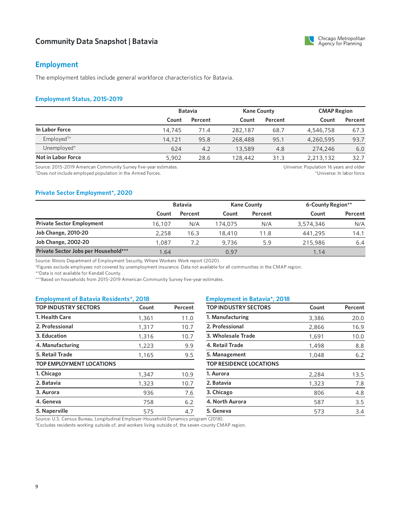# **Employment**

The employment tables include general workforce characteristics for Batavia.

#### **Employment Status, 2015-2019**

|                        |        | <b>Batavia</b> |         | <b>Kane County</b> |           | <b>CMAP Region</b> |  |
|------------------------|--------|----------------|---------|--------------------|-----------|--------------------|--|
|                        | Count  | Percent        | Count   | Percent            | Count     | Percent            |  |
| In Labor Force         | 14,745 | 71.4           | 282,187 | 68.7               | 4,546,758 | 67.3               |  |
| Employed <sup>†*</sup> | 14,121 | 95.8           | 268,488 | 95.1               | 4,260,595 | 93.7               |  |
| Unemployed*            | 624    | 4.2            | 13,589  | 4.8                | 274,246   | 6.0                |  |
| Not in Labor Force     | 5,902  | 28.6           | 128,442 | 31.3               | 2,213,132 | 32.7               |  |

Source: 2015-2019 American Community Survey five-year estimates.

Does not include employed population in the Armed Forces. †

Universe: Population 16 years and older \*Universe: In labor force

#### **Private Sector Employment\*, 2020**

|                                      | <b>Batavia</b> |         |         | <b>Kane County</b> | 6-County Region** |         |
|--------------------------------------|----------------|---------|---------|--------------------|-------------------|---------|
|                                      | Count          | Percent | Count   | Percent            | Count             | Percent |
| <b>Private Sector Employment</b>     | 16.107         | N/A     | 174.075 | N/A                | 3,574,346         | N/A     |
| <b>Job Change, 2010-20</b>           | 2.258          | 16.3    | 18,410  | 11.8               | 441,295           | 14.1    |
| <b>Job Change, 2002-20</b>           | 1.087          | 7.2     | 9.736   | 5.9                | 215,986           | 6.4     |
| Private Sector Jobs per Household*** | 1.64           |         | 0.97    |                    | 1.14              |         |

Source: Illinois Department of Employment Security, Where Workers Work report (2020).

\*Figures exclude employees not covered by unemployment insurance. Data not available for all communities in the CMAP region.

\*\*Data is not available for Kendall County.

\*\*\*Based on households from 2015-2019 American Community Survey five-year estimates.

#### **Employment of Batavia Residents\*, 2018 Employment in Batavia\*, 2018**

| <b>TOP INDUSTRY SECTORS</b>     | Count | Percent |
|---------------------------------|-------|---------|
| 1. Health Care                  | 1,361 | 11.0    |
| 2. Professional                 | 1,317 | 10.7    |
| 3. Education                    | 1,316 | 10.7    |
| 4. Manufacturing                | 1,223 | 9.9     |
| 5. Retail Trade                 | 1,165 | 9.5     |
| <b>TOP EMPLOYMENT LOCATIONS</b> |       |         |
| 1. Chicago                      | 1,347 | 10.9    |
| 2. Batavia                      | 1,323 | 10.7    |
| 3. Aurora                       | 936   | 7.6     |
| 4. Geneva                       | 758   | 6.2     |
| 5. Naperville                   | 575   | 4.7     |

| <b>TOP INDUSTRY SECTORS</b>    | Count | Percent |
|--------------------------------|-------|---------|
| 1. Manufacturing               | 3,386 | 20.0    |
| 2. Professional                | 2,866 | 16.9    |
| 3. Wholesale Trade             | 1,691 | 10.0    |
| 4. Retail Trade                | 1,498 | 8.8     |
| 5. Management                  | 1,048 | 6.2     |
| <b>TOP RESIDENCE LOCATIONS</b> |       |         |
| 1. Aurora                      | 2,284 | 13.5    |
| 2. Batavia                     | 1,323 | 7.8     |
| 3. Chicago                     | 806   | 4.8     |
| 4. North Aurora                | 587   | 3.5     |
| 5. Geneva                      | 573   | 3.4     |
| $1 - 1 - 1 - 1$                |       |         |

Source: U.S. Census Bureau, Longitudinal Employer-Household Dynamics program (2018).

\*Excludes residents working outside of, and workers living outside of, the seven-county CMAP region.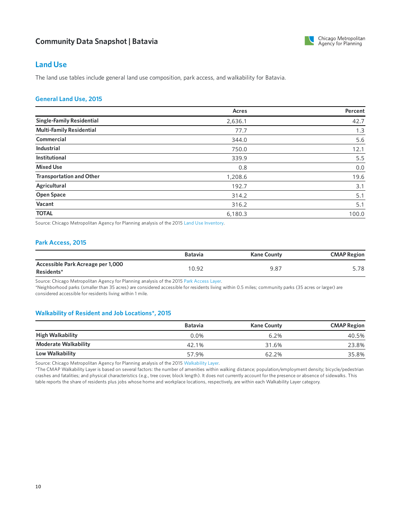

### **Land Use**

The land use tables include general land use composition, park access, and walkability for Batavia.

#### **GeneralLand Use, 2015**

|                                  | Acres   | Percent |
|----------------------------------|---------|---------|
| <b>Single-Family Residential</b> | 2,636.1 | 42.7    |
| <b>Multi-Family Residential</b>  | 77.7    | 1.3     |
| Commercial                       | 344.0   | 5.6     |
| <b>Industrial</b>                | 750.0   | 12.1    |
| <b>Institutional</b>             | 339.9   | 5.5     |
| <b>Mixed Use</b>                 | 0.8     | 0.0     |
| <b>Transportation and Other</b>  | 1,208.6 | 19.6    |
| Agricultural                     | 192.7   | 3.1     |
| <b>Open Space</b>                | 314.2   | 5.1     |
| Vacant                           | 316.2   | 5.1     |
| <b>TOTAL</b>                     | 6,180.3 | 100.0   |

Source: Chicago Metropolitan Agency for Planning analysis of the 2015 Land Use [Inventory](https://www.cmap.illinois.gov/data/land-use/inventory).

#### **Park Access, 2015**

|                                                 | <b>Batavia</b> | <b>Kane County</b> | <b>CMAP Region</b> |
|-------------------------------------------------|----------------|--------------------|--------------------|
| Accessible Park Acreage per 1,000<br>Residents* | 10.92          | $9.8^{-}$          | 5.78               |

Source: Chicago Metropolitan Agency for Planning analysis of the 2015 Park [Access](https://www.cmap.illinois.gov/2050/maps/parks) Layer.

\*Neighborhood parks (smaller than 35 acres) are considered accessible for residents living within 0.5 miles; community parks (35 acres or larger) are considered accessible for residents living within 1 mile.

#### **Walkability of Resident and Job Locations\*, 2015**

|                             | <b>Batavia</b> | <b>Kane County</b> | <b>CMAP Region</b> |
|-----------------------------|----------------|--------------------|--------------------|
| <b>High Walkability</b>     | $0.0\%$        | 6.2%               | 40.5%              |
| <b>Moderate Walkability</b> | 42.1%          | 31.6%              | 23.8%              |
| Low Walkability             | 57.9%          | 62.2%              | 35.8%              |

Source: Chicago Metropolitan Agency for Planning analysis of the 2015 [Walkability](https://www.cmap.illinois.gov/2050/maps/walkability) Layer.

\*The CMAP Walkability Layer is based on several factors: the number of amenities within walking distance; population/employment density; bicycle/pedestrian crashes and fatalities; and physical characteristics (e.g., tree cover, block length). It does not currently account for the presence or absence of sidewalks. This table reports the share of residents plus jobs whose home and workplace locations, respectively, are within each Walkability Layer category.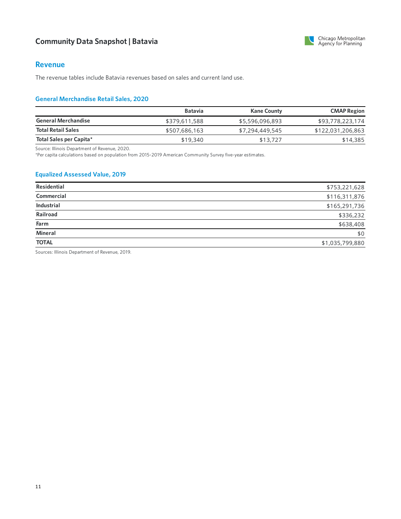

#### **Revenue**

The revenue tables include Batavia revenues based on sales and current land use.

#### **General Merchandise Retail Sales, 2020**

|                            | <b>Batavia</b> | <b>Kane County</b> | <b>CMAP Region</b> |
|----------------------------|----------------|--------------------|--------------------|
| <b>General Merchandise</b> | \$379,611,588  | \$5,596,096,893    | \$93,778,223,174   |
| <b>Total Retail Sales</b>  | \$507,686,163  | \$7,294,449,545    | \$122,031,206,863  |
| Total Sales per Capita*    | \$19,340       | \$13,727           | \$14,385           |

Source: Illinois Department of Revenue, 2020.

\*Percapita calculations based on population from 2015-2019 American Community Survey five-year estimates.

#### **Equalized Assessed Value, 2019**

| Residential       | \$753,221,628   |
|-------------------|-----------------|
| Commercial        | \$116,311,876   |
| <b>Industrial</b> | \$165,291,736   |
| Railroad          | \$336,232       |
| Farm              | \$638,408       |
| Mineral           | \$0             |
| <b>TOTAL</b>      | \$1,035,799,880 |
|                   |                 |

Sources: Illinois Department of Revenue, 2019.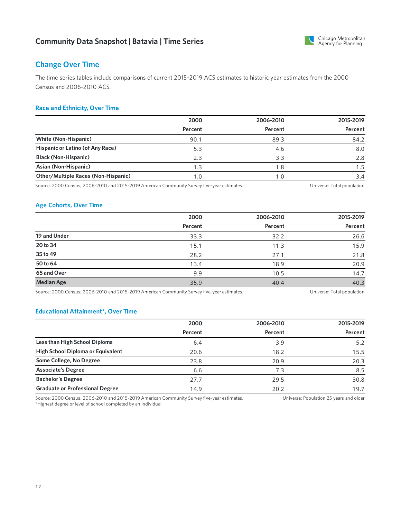

# **Change Over Time**

The time series tables include comparisons of current 2015-2019 ACS estimates to historicyear estimates from the 2000 Census and 2006-2010 ACS.

#### **Race and Ethnicity, Over Time**

|                                            | 2000    | 2006-2010 | 2015-2019 |
|--------------------------------------------|---------|-----------|-----------|
|                                            | Percent | Percent   | Percent   |
| <b>White (Non-Hispanic)</b>                | 90.1    | 89.3      | 84.2      |
| Hispanic or Latino (of Any Race)           | 5.3     | 4.6       | 8.0       |
| <b>Black (Non-Hispanic)</b>                | 2.3     | 3.3       | 2.8       |
| Asian (Non-Hispanic)                       | 1.3     | 1.8       | 1.5       |
| <b>Other/Multiple Races (Non-Hispanic)</b> | 1.0     |           | 3.4       |

Source: 2000 Census; 2006-2010 and 2015-2019 American Community Survey five-year estimates. Universe: Total population

### **Age Cohorts, Over Time**

|                   | 2000    | 2006-2010 | 2015-2019 |
|-------------------|---------|-----------|-----------|
|                   | Percent | Percent   | Percent   |
| 19 and Under      | 33.3    | 32.2      | 26.6      |
| 20 to 34          | 15.1    | 11.3      | 15.9      |
| 35 to 49          | 28.2    | 27.1      | 21.8      |
| 50 to 64          | 13.4    | 18.9      | 20.9      |
| 65 and Over       | 9.9     | 10.5      | 14.7      |
| <b>Median Age</b> | 35.9    | 40.4      | 40.3      |

Source: 2000 Census; 2006-2010 and 2015-2019 American Community Survey five-year estimates. Universe: Total population

#### **Educational Attainment\*, Over Time**

|                                        | 2000    | 2006-2010 | 2015-2019 |
|----------------------------------------|---------|-----------|-----------|
|                                        | Percent | Percent   | Percent   |
| Less than High School Diploma          | 6.4     | 3.9       | 5.2       |
| High School Diploma or Equivalent      | 20.6    | 18.2      | 15.5      |
| Some College, No Degree                | 23.8    | 20.9      | 20.3      |
| <b>Associate's Degree</b>              | 6.6     | 7.3       | 8.5       |
| <b>Bachelor's Degree</b>               | 27.7    | 29.5      | 30.8      |
| <b>Graduate or Professional Degree</b> | 14.9    | 20.2      | 19.7      |

Source: 2000 Census; 2006-2010 and 2015-2019 American Community Survey five-year estimates. \*Highest degree or level of school completed by an individual. Universe: Population 25 years and older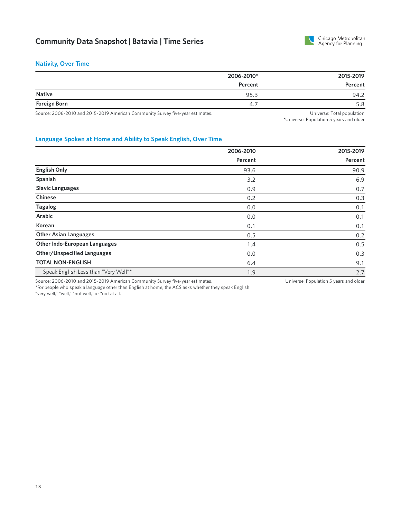

#### **Nativity, Over Time**

|                     | 2006-2010* | 2015-2019 |
|---------------------|------------|-----------|
|                     | Percent    | Percent   |
| <b>Native</b>       | 95.3       | 94.2      |
| <b>Foreign Born</b> | 4.7        | 5.8       |

Source: 2006-2010 and 2015-2019 American Community Survey five-year estimates. 
Universe: Total population
Universe: Total population

\*Universe: Population 5 years and older

#### **Language Spoken at Home and Ability to Speak English, Over Time**

|                                                                                | 2006-2010 | 2015-2019                              |
|--------------------------------------------------------------------------------|-----------|----------------------------------------|
|                                                                                | Percent   | Percent                                |
| <b>English Only</b>                                                            | 93.6      | 90.9                                   |
| Spanish                                                                        | 3.2       | 6.9                                    |
| <b>Slavic Languages</b>                                                        | 0.9       | 0.7                                    |
| <b>Chinese</b>                                                                 | 0.2       | 0.3                                    |
| <b>Tagalog</b>                                                                 | 0.0       | 0.1                                    |
| <b>Arabic</b>                                                                  | 0.0       | 0.1                                    |
| Korean                                                                         | 0.1       | 0.1                                    |
| <b>Other Asian Languages</b>                                                   | 0.5       | 0.2                                    |
| <b>Other Indo-European Languages</b>                                           | 1.4       | 0.5                                    |
| <b>Other/Unspecified Languages</b>                                             | 0.0       | 0.3                                    |
| <b>TOTAL NON-ENGLISH</b>                                                       | 6.4       | 9.1                                    |
| Speak English Less than "Very Well"*                                           | 1.9       | 2.7                                    |
| Source: 2006-2010 and 2015-2019 American Community Survey five-year estimates. |           | Universe: Population 5 years and older |

\*For people who speak a language other than English at home, the ACS asks whether they speak English "very well," "well," "not well," or "not at all."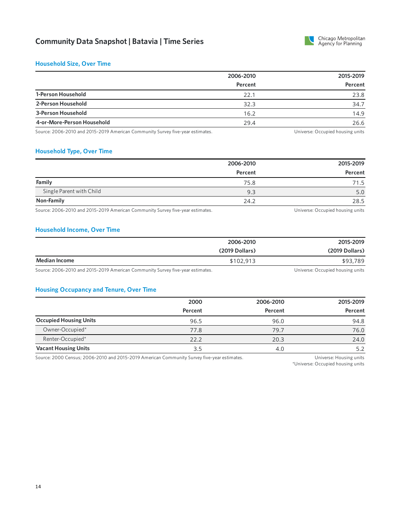

#### **Household Size, Over Time**

|                            | 2006-2010 | 2015-2019 |
|----------------------------|-----------|-----------|
|                            | Percent   | Percent   |
| 1-Person Household         | 22.1      | 23.8      |
| 2-Person Household         | 32.3      | 34.7      |
| 3-Person Household         | 16.2      | 14.9      |
| 4-or-More-Person Household | 29.4      | 26.6      |

Source: 2006-2010 and 2015-2019 American Community Survey five-year estimates. 
Universe: Occupied housing units

#### **Household Type, Over Time**

|                                                                                                                 | 2006-2010 | 2015-2019 |
|-----------------------------------------------------------------------------------------------------------------|-----------|-----------|
|                                                                                                                 | Percent   | Percent   |
| Family                                                                                                          | 75.8      | 71.5      |
| Single Parent with Child                                                                                        | 9.3       | 5.0       |
| Non-Family                                                                                                      | 24.2      | 28.5      |
| the contract of the contract of the contract of the contract of the contract of the contract of the contract of |           |           |

Source: 2006-2010 and 2015-2019 American Community Survey five-year estimates. The Manusculi Community Survey five-year estimates.

#### **Household Income, Over Time**

|               | 2006-2010      | 2015-2019                                               |
|---------------|----------------|---------------------------------------------------------|
|               | (2019 Dollars) | (2019 Dollars)                                          |
| Median Income | \$102,913      | \$93,789                                                |
|               |                | $\sim$ $\sim$ $\sim$ $\sim$ $\sim$ $\sim$ $\sim$ $\sim$ |

Source: 2006-2010 and 2015-2019 American Community Survey five-year estimates. The Manuscription of the Universe: Occupied housing units

#### **Housing Occupancy and Tenure, Over Time**

|                               | 2000    | 2006-2010 | 2015-2019 |
|-------------------------------|---------|-----------|-----------|
|                               | Percent | Percent   | Percent   |
| <b>Occupied Housing Units</b> | 96.5    | 96.0      | 94.8      |
| Owner-Occupied*               | 77.8    | 79.7      | 76.0      |
| Renter-Occupied*              | 22.2    | 20.3      | 24.0      |
| <b>Vacant Housing Units</b>   | 3.5     | 4.0       | 5.2       |

Source: 2000 Census; 2006-2010 and 2015-2019 American Community Survey five-year estimates. Universe: Housing units

\*Universe: Occupied housing units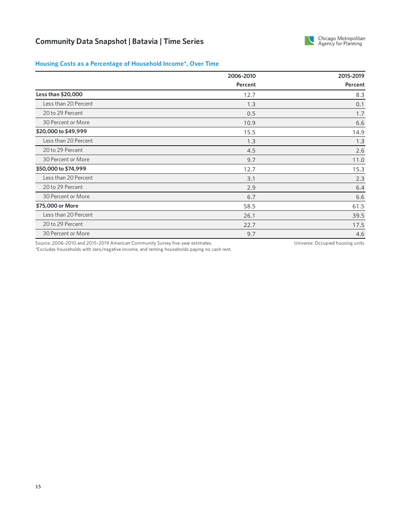

#### **Housing Costs as a Percentage of Household Income\*, Over Time**

|                      | 2006-2010 | 2015-2019 |
|----------------------|-----------|-----------|
|                      | Percent   | Percent   |
| Less than \$20,000   | 12.7      | 8.3       |
| Less than 20 Percent | 1.3       | 0.1       |
| 20 to 29 Percent     | 0.5       | 1.7       |
| 30 Percent or More   | 10.9      | 6.6       |
| \$20,000 to \$49,999 | 15.5      | 14.9      |
| Less than 20 Percent | 1.3       | 1.3       |
| 20 to 29 Percent     | 4.5       | 2.6       |
| 30 Percent or More   | 9.7       | 11.0      |
| \$50,000 to \$74,999 | 12.7      | 15.3      |
| Less than 20 Percent | 3.1       | 2.3       |
| 20 to 29 Percent     | 2.9       | 6.4       |
| 30 Percent or More   | 6.7       | 6.6       |
| \$75,000 or More     | 58.5      | 61.5      |
| Less than 20 Percent | 26.1      | 39.5      |
| 20 to 29 Percent     | 22.7      | 17.5      |
| 30 Percent or More   | 9.7       | 4.6       |

Source: 2006-2010 and 2015-2019 American Community Survey five-year estimates.

Universe: Occupied housing units

\*Excludes households with zero/negative income, and renting households paying no cash rent.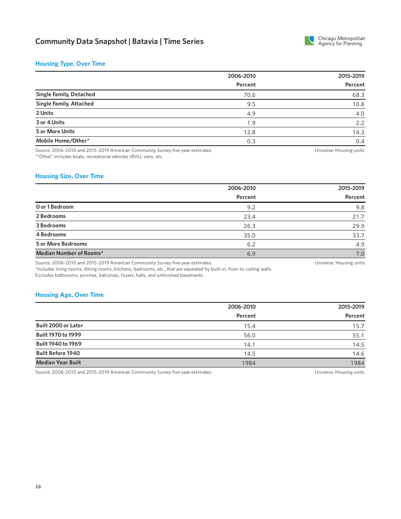

#### **Housing Type, Over Time**

|                                | 2006-2010 | 2015-2019 |  |
|--------------------------------|-----------|-----------|--|
|                                | Percent   | Percent   |  |
| <b>Single Family, Detached</b> | 70.6      | 68.3      |  |
| <b>Single Family, Attached</b> | 9.5       | 10.8      |  |
| 2 Units                        | 4.9       | 4.0       |  |
| 3 or 4 Units                   | 1.9       | 2.2       |  |
| 5 or More Units                | 12.8      | 14.3      |  |
| Mobile Home/Other*             | 0.3       | 0.4       |  |
|                                |           |           |  |

Source: 2006-2010 and 2015-2019 American Community Survey five-year estimates. \*"Other" includes boats, recreational vehicles (RVs), vans, etc.

Universe: Housing units

#### **Housing Size, Over Time**

|                           | 2006-2010 | 2015-2019 |
|---------------------------|-----------|-----------|
|                           | Percent   | Percent   |
| O or 1 Bedroom            | 9.2       | 9.8       |
| 2 Bedrooms                | 23.4      | 21.7      |
| 3 Bedrooms                | 26.3      | 29.9      |
| 4 Bedrooms                | 35.0      | 33.7      |
| <b>5 or More Bedrooms</b> | 6.2       | 4.9       |
| Median Number of Rooms*   | 6.9       | 7.0       |

Source: 2006-2010 and 2015-2019 American Community Survey five-year estimates.

Universe: Housing units

\*Includes living rooms, dining rooms, kitchens, bedrooms, etc., that are separated by built-in, floor-to-ceiling walls. Excludes bathrooms, porches, balconies, foyers, halls, and unfinished basements.

#### **Housing Age, Over Time**

|                           | 2006-2010 | 2015-2019 |
|---------------------------|-----------|-----------|
|                           | Percent   | Percent   |
| Built 2000 or Later       | 15.4      | 15.7      |
| <b>Built 1970 to 1999</b> | 56.0      | 55.1      |
| Built 1940 to 1969        | 14.1      | 14.5      |
| <b>Built Before 1940</b>  | 14.5      | 14.6      |
| <b>Median Year Built</b>  | 1984      | 1984      |

Source: 2006-2010 and 2015-2019 American Community Survey five-year estimates. 
Universe: Housing units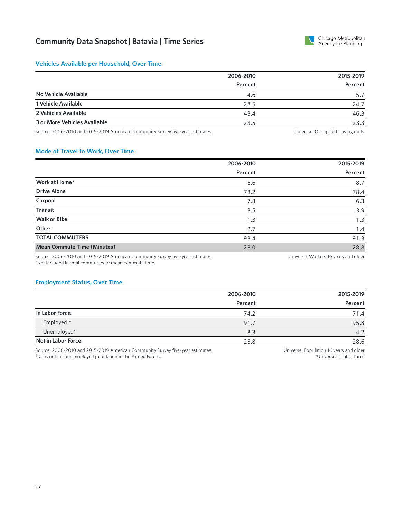

#### **Vehicles Available per Household, Over Time**

|                              | 2006-2010 | 2015-2019 |
|------------------------------|-----------|-----------|
|                              | Percent   | Percent   |
| No Vehicle Available         | 4.6       | 5.7       |
| 1 Vehicle Available          | 28.5      | 24.7      |
| 2 Vehicles Available         | 43.4      | 46.3      |
| 3 or More Vehicles Available | 23.5      | 23.3      |

Source: 2006-2010 and 2015-2019 American Community Survey five-year estimates. 
Universe: Occupied housing units

#### **Mode of Travel to Work, Over Time**

|                                    | 2006-2010 | 2015-2019 |
|------------------------------------|-----------|-----------|
|                                    | Percent   | Percent   |
| Work at Home*                      | 6.6       | 8.7       |
| <b>Drive Alone</b>                 | 78.2      | 78.4      |
| Carpool                            | 7.8       | 6.3       |
| <b>Transit</b>                     | 3.5       | 3.9       |
| <b>Walk or Bike</b>                | 1.3       | 1.3       |
| Other                              | 2.7       | 1.4       |
| <b>TOTAL COMMUTERS</b>             | 93.4      | 91.3      |
| <b>Mean Commute Time (Minutes)</b> | 28.0      | 28.8      |

Source: 2006-2010 and 2015-2019 American Community Survey five-year estimates. \*Not included in total commuters or mean commute time.

#### Universe: Workers 16 years and older

#### **Employment Status, Over Time**

|                           | 2006-2010 | 2015-2019 |
|---------------------------|-----------|-----------|
|                           | Percent   | Percent   |
| In Labor Force            | 74.2      | 71.4      |
| Employed <sup>†*</sup>    | 91.7      | 95.8      |
| Unemployed*               | 8.3       | 4.2       |
| <b>Not in Labor Force</b> | 25.8      | 28.6      |

Source: 2006-2010 and 2015-2019 American Community Survey five-year estimates. Does not include employed population in the Armed Forces. †

Universe: Population 16 years and older \*Universe: In labor force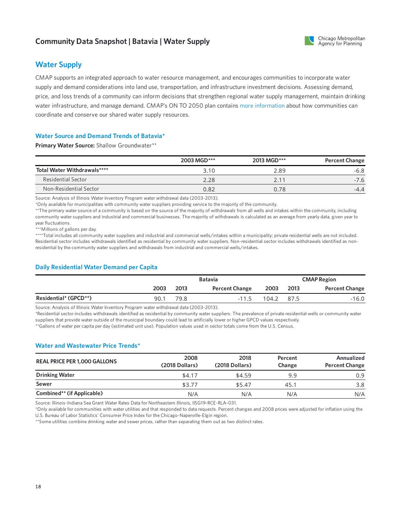# **Community Data Snapshot | Batavia | Water Supply**



# **Water Supply**

CMAP supports an integrated approach to water resource management, and encourages communities to incorporate water supply and demand considerations into land use, transportation, and infrastructure investment decisions. Assessing demand, price, and loss trends of a community can inform decisions that strengthen regional water supply management, maintain drinking water infrastructure, and manage demand. CMAP's ON TO 2050 plan contains more [information](https://www.cmap.illinois.gov/2050/environment/water-supply#water-planning) about how communities can coordinate and conserve our shared water supply resources.

#### **Water Source and Demand Trends of Batavia\***

**Primary Water Source:** Shallow Groundwater\*\*

|                             | 2003 MGD*** | 2013 MGD*** | <b>Percent Change</b> |
|-----------------------------|-------------|-------------|-----------------------|
| Total Water Withdrawals**** | 3.10        | 2.89        | -6.8                  |
| Residential Sector          | 2.28        | 2.1         | $-7.6$                |
| Non-Residential Sector      | 0.82        | 0.78        | $-4.4$                |

Source: Analysis of Illinois Water Inventory Program water withdrawal data (2003-2013).

\*Only available for municipalities with community water suppliers providing service to the majority of the community.

\*\*The primary water source of a community is based on the source of the majority of withdrawals from all wells and intakes within the community, including community water suppliers and industrial and commercial businesses. The majority of withdrawals is calculated as an average from yearly data, given year to year fluctuations.

\*\*\*Millions of gallons per day.

\*\*\*\*Total includes all community water suppliers and industrial and commercial wells/intakes within a municipality; private residential wells are not included. Residential sector includes withdrawals identified as residential by community water suppliers. Non-residential sector includes withdrawals identified as nonresidential by the community water suppliers and withdrawals from industrial and commercial wells/intakes.

#### **Daily Residential Water Demand per Capita**

|                       |      | <b>Batavia</b> |                       |       | <b>CMAP Region</b> |                       |
|-----------------------|------|----------------|-----------------------|-------|--------------------|-----------------------|
|                       | 2003 | 2013           | <b>Percent Change</b> | 2003  | 2013               | <b>Percent Change</b> |
| Residential* (GPCD**) | 90.1 | 79.8           | $-11.5$               | 104.2 | 87.5               | $-16.0$               |

Source: Analysis of Illinois Water Inventory Program water withdrawal data (2003-2013).

\*Residential sector includes withdrawals identified as residential by community water suppliers. The prevalence of private residential wells orcommunity water suppliers that provide water outside of the municipal boundary could lead to artificially lower or higher GPCD values respectively.

\*\*Gallons of water percapita per day (estimated unit use). Population values used in sector totals come from the U.S. Census.

#### **Water and Wastewater Price Trends\***

| <b>REAL PRICE PER 1,000 GALLONS</b> | 2008<br>(2018 Dollars) | 2018<br>(2018 Dollars) | Percent<br>Change | Annualized<br><b>Percent Change</b> |
|-------------------------------------|------------------------|------------------------|-------------------|-------------------------------------|
| <b>Drinking Water</b>               | \$4.17                 | \$4.59                 | 9.9               | 0.9                                 |
| Sewer                               | \$3.77                 | \$5.47                 | 45.1              | 3.8                                 |
| Combined** (if Applicable)          | N/A                    | N/A                    | N/A               | N/A                                 |

Source: Illinois-Indiana Sea Grant Water Rates Data for Northeastern Illinois, IISG19-RCE-RLA-031.

\*Only available forcommunities with water utilities and that responded to data requests. Percent changes and 2008 prices were adjusted for inflation using the U.S. Bureau of Labor Statistics' Consumer Price Index for the Chicago-Naperville-Elgin region.

\*\*Some utilities combine drinking water and sewer prices, rather than separating them out as two distinct rates.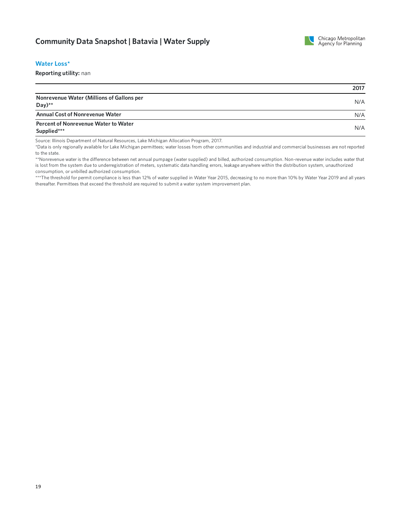

#### **WaterLoss\***

**Reporting utility:** nan

|                                                        | 2017 |
|--------------------------------------------------------|------|
| Nonrevenue Water (Millions of Gallons per<br>Day) $**$ | N/A  |
| <b>Annual Cost of Nonrevenue Water</b>                 | N/A  |
| Percent of Nonrevenue Water to Water<br>Supplied***    | N/A  |

Source: Illinois Department of Natural Resources, Lake Michigan Allocation Program, 2017.

\*Data is only regionally available forLake Michigan permittees; water losses from othercommunities and industrial and commercial businesses are not reported to the state.

\*\*Nonrevenue water is the difference between net annual pumpage (water supplied) and billed, authorized consumption. Non-revenue water includes water that is lost from the system due to underregistration of meters, systematic data handling errors, leakage anywhere within the distribution system, unauthorized consumption, or unbilled authorized consumption.

\*\*\*The threshold for permit compliance is less than 12% of water supplied in Water Year 2015, decreasing to no more than 10% by Water Year 2019 and all years thereafter. Permittees that exceed the threshold are required to submit a water system improvement plan.